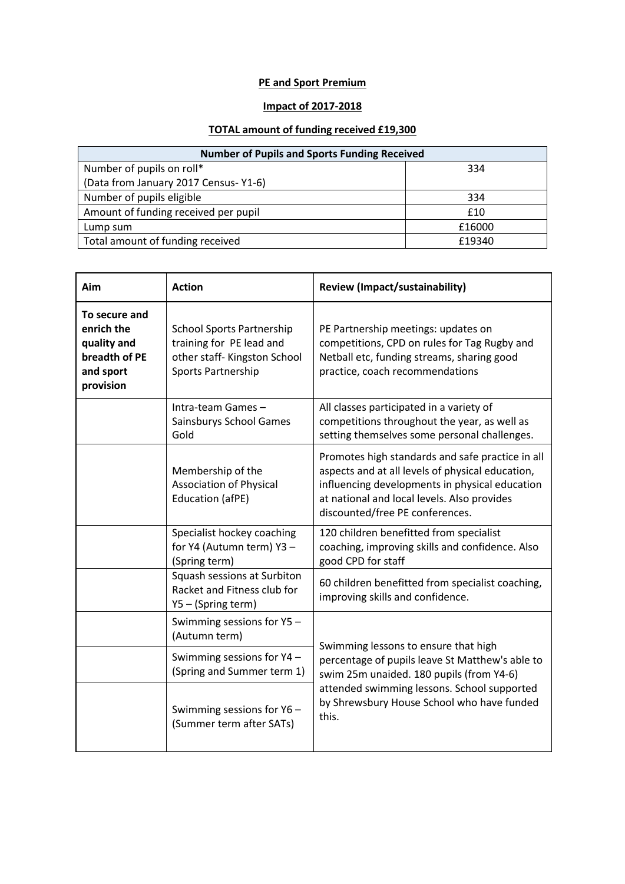## **PE and Sport Premium**

## **Impact of 2017-2018**

## **TOTAL amount of funding received £19,300**

| <b>Number of Pupils and Sports Funding Received</b> |        |  |
|-----------------------------------------------------|--------|--|
| Number of pupils on roll*                           | 334    |  |
| (Data from January 2017 Census-Y1-6)                |        |  |
| Number of pupils eligible                           | 334    |  |
| Amount of funding received per pupil                | £10    |  |
| Lump sum                                            | £16000 |  |
| Total amount of funding received                    | £19340 |  |

| Aim                                                                                   | <b>Action</b>                                                                                                            | <b>Review (Impact/sustainability)</b>                                                                                                                                                                                                    |
|---------------------------------------------------------------------------------------|--------------------------------------------------------------------------------------------------------------------------|------------------------------------------------------------------------------------------------------------------------------------------------------------------------------------------------------------------------------------------|
| To secure and<br>enrich the<br>quality and<br>breadth of PE<br>and sport<br>provision | <b>School Sports Partnership</b><br>training for PE lead and<br>other staff-Kingston School<br><b>Sports Partnership</b> | PE Partnership meetings: updates on<br>competitions, CPD on rules for Tag Rugby and<br>Netball etc, funding streams, sharing good<br>practice, coach recommendations                                                                     |
|                                                                                       | Intra-team Games-<br>Sainsburys School Games<br>Gold                                                                     | All classes participated in a variety of<br>competitions throughout the year, as well as<br>setting themselves some personal challenges.                                                                                                 |
|                                                                                       | Membership of the<br><b>Association of Physical</b><br>Education (afPE)                                                  | Promotes high standards and safe practice in all<br>aspects and at all levels of physical education,<br>influencing developments in physical education<br>at national and local levels. Also provides<br>discounted/free PE conferences. |
|                                                                                       | Specialist hockey coaching<br>for Y4 (Autumn term) Y3 -<br>(Spring term)                                                 | 120 children benefitted from specialist<br>coaching, improving skills and confidence. Also<br>good CPD for staff                                                                                                                         |
|                                                                                       | Squash sessions at Surbiton<br>Racket and Fitness club for<br>Y5 - (Spring term)                                         | 60 children benefitted from specialist coaching,<br>improving skills and confidence.                                                                                                                                                     |
|                                                                                       | Swimming sessions for Y5 -<br>(Autumn term)                                                                              | Swimming lessons to ensure that high                                                                                                                                                                                                     |
|                                                                                       | Swimming sessions for Y4 -<br>(Spring and Summer term 1)                                                                 | percentage of pupils leave St Matthew's able to<br>swim 25m unaided. 180 pupils (from Y4-6)                                                                                                                                              |
|                                                                                       | Swimming sessions for Y6 -<br>(Summer term after SATs)                                                                   | attended swimming lessons. School supported<br>by Shrewsbury House School who have funded<br>this.                                                                                                                                       |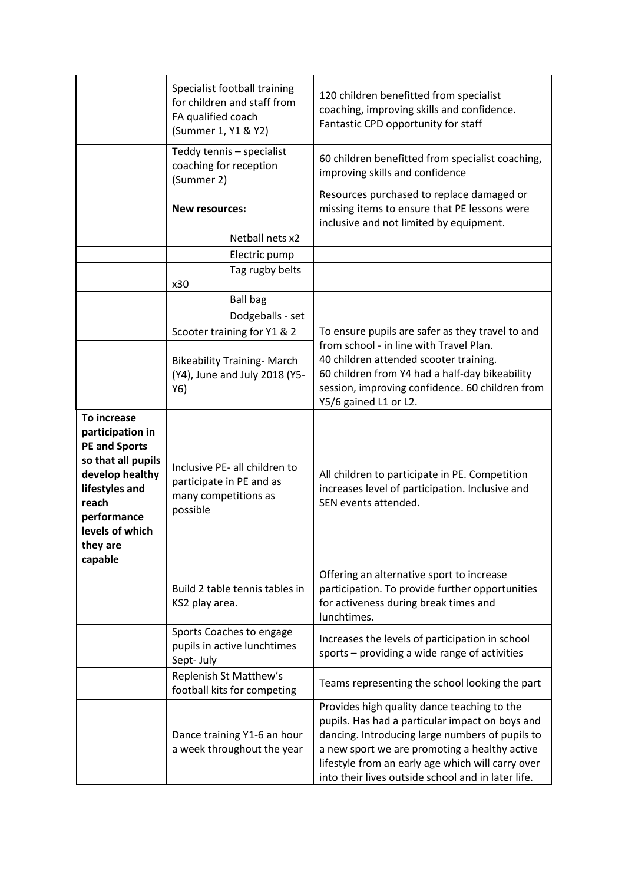|                                                                                                                                                                                      | Specialist football training<br>for children and staff from<br>FA qualified coach<br>(Summer 1, Y1 & Y2) | 120 children benefitted from specialist<br>coaching, improving skills and confidence.<br>Fantastic CPD opportunity for staff                                                                                                                                                                                  |
|--------------------------------------------------------------------------------------------------------------------------------------------------------------------------------------|----------------------------------------------------------------------------------------------------------|---------------------------------------------------------------------------------------------------------------------------------------------------------------------------------------------------------------------------------------------------------------------------------------------------------------|
|                                                                                                                                                                                      | Teddy tennis - specialist<br>coaching for reception<br>(Summer 2)                                        | 60 children benefitted from specialist coaching,<br>improving skills and confidence                                                                                                                                                                                                                           |
|                                                                                                                                                                                      | <b>New resources:</b>                                                                                    | Resources purchased to replace damaged or<br>missing items to ensure that PE lessons were<br>inclusive and not limited by equipment.                                                                                                                                                                          |
|                                                                                                                                                                                      | Netball nets x2                                                                                          |                                                                                                                                                                                                                                                                                                               |
|                                                                                                                                                                                      | Electric pump                                                                                            |                                                                                                                                                                                                                                                                                                               |
|                                                                                                                                                                                      | Tag rugby belts<br>x30                                                                                   |                                                                                                                                                                                                                                                                                                               |
|                                                                                                                                                                                      | <b>Ball bag</b>                                                                                          |                                                                                                                                                                                                                                                                                                               |
|                                                                                                                                                                                      | Dodgeballs - set                                                                                         |                                                                                                                                                                                                                                                                                                               |
|                                                                                                                                                                                      | Scooter training for Y1 & 2                                                                              | To ensure pupils are safer as they travel to and                                                                                                                                                                                                                                                              |
|                                                                                                                                                                                      | <b>Bikeability Training-March</b><br>(Y4), June and July 2018 (Y5-<br>Y6)                                | from school - in line with Travel Plan.<br>40 children attended scooter training.<br>60 children from Y4 had a half-day bikeability<br>session, improving confidence. 60 children from<br>Y5/6 gained L1 or L2.                                                                                               |
| To increase<br>participation in<br><b>PE and Sports</b><br>so that all pupils<br>develop healthy<br>lifestyles and<br>reach<br>performance<br>levels of which<br>they are<br>capable | Inclusive PE- all children to<br>participate in PE and as<br>many competitions as<br>possible            | All children to participate in PE. Competition<br>increases level of participation. Inclusive and<br>SEN events attended.                                                                                                                                                                                     |
|                                                                                                                                                                                      | Build 2 table tennis tables in<br>KS2 play area.                                                         | Offering an alternative sport to increase<br>participation. To provide further opportunities<br>for activeness during break times and<br>lunchtimes.                                                                                                                                                          |
|                                                                                                                                                                                      | Sports Coaches to engage<br>pupils in active lunchtimes<br>Sept-July                                     | Increases the levels of participation in school<br>sports - providing a wide range of activities                                                                                                                                                                                                              |
|                                                                                                                                                                                      | Replenish St Matthew's<br>football kits for competing                                                    | Teams representing the school looking the part                                                                                                                                                                                                                                                                |
|                                                                                                                                                                                      | Dance training Y1-6 an hour<br>a week throughout the year                                                | Provides high quality dance teaching to the<br>pupils. Has had a particular impact on boys and<br>dancing. Introducing large numbers of pupils to<br>a new sport we are promoting a healthy active<br>lifestyle from an early age which will carry over<br>into their lives outside school and in later life. |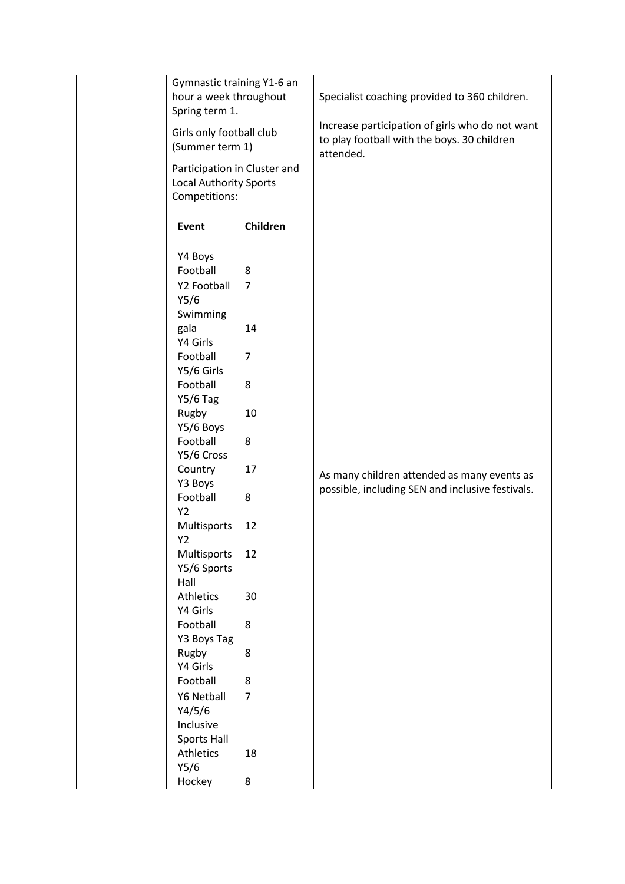| Gymnastic training Y1-6 an<br>hour a week throughout<br>Spring term 1.                                                                                                                                                                                                                                                                                                                                                                              |                                                                                                                    | Specialist coaching provided to 360 children.                                                               |
|-----------------------------------------------------------------------------------------------------------------------------------------------------------------------------------------------------------------------------------------------------------------------------------------------------------------------------------------------------------------------------------------------------------------------------------------------------|--------------------------------------------------------------------------------------------------------------------|-------------------------------------------------------------------------------------------------------------|
| Girls only football club<br>(Summer term 1)                                                                                                                                                                                                                                                                                                                                                                                                         |                                                                                                                    | Increase participation of girls who do not want<br>to play football with the boys. 30 children<br>attended. |
| Participation in Cluster and<br><b>Local Authority Sports</b><br>Competitions:                                                                                                                                                                                                                                                                                                                                                                      |                                                                                                                    |                                                                                                             |
| Event                                                                                                                                                                                                                                                                                                                                                                                                                                               | Children                                                                                                           |                                                                                                             |
| Y4 Boys<br>Football<br>Y2 Football<br>Y5/6<br>Swimming<br>gala<br>Y4 Girls<br>Football<br>Y5/6 Girls<br>Football<br><b>Y5/6 Tag</b><br>Rugby<br>Y5/6 Boys<br>Football<br>Y5/6 Cross<br>Country<br>Y3 Boys<br>Football<br><b>Y2</b><br>Multisports<br>Y2<br>Multisports<br>Y5/6 Sports<br>Hall<br>Athletics<br>Y4 Girls<br>Football<br>Y3 Boys Tag<br>Rugby<br>Y4 Girls<br>Football<br>Y6 Netball<br>Y4/5/6<br>Inclusive<br>Sports Hall<br>Athletics | 8<br>$\overline{7}$<br>14<br>7<br>8<br>10<br>8<br>17<br>8<br>12<br>12<br>30<br>8<br>8<br>8<br>$\overline{7}$<br>18 | As many children attended as many events as<br>possible, including SEN and inclusive festivals.             |
| Y5/6<br>Hockey                                                                                                                                                                                                                                                                                                                                                                                                                                      | 8                                                                                                                  |                                                                                                             |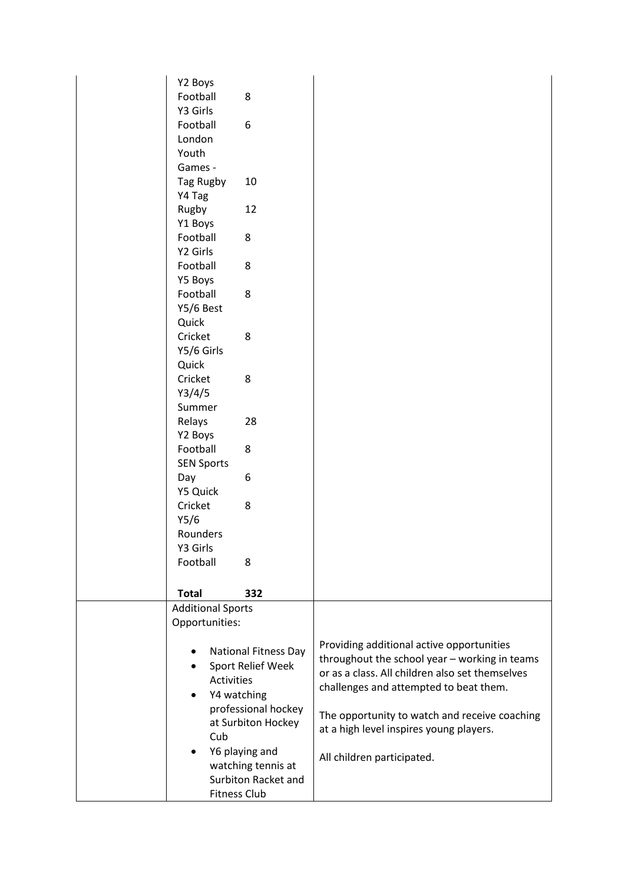|  | Y2 Boys                                                            |                             |                                                 |
|--|--------------------------------------------------------------------|-----------------------------|-------------------------------------------------|
|  | Football                                                           | 8                           |                                                 |
|  | Y3 Girls                                                           |                             |                                                 |
|  | Football                                                           | 6                           |                                                 |
|  | London                                                             |                             |                                                 |
|  | Youth                                                              |                             |                                                 |
|  | Games -                                                            |                             |                                                 |
|  | Tag Rugby                                                          | 10                          |                                                 |
|  | Y4 Tag                                                             |                             |                                                 |
|  | Rugby                                                              | 12                          |                                                 |
|  | Y1 Boys                                                            |                             |                                                 |
|  | Football                                                           | 8                           |                                                 |
|  | Y2 Girls                                                           |                             |                                                 |
|  | Football                                                           | 8                           |                                                 |
|  | Y5 Boys                                                            |                             |                                                 |
|  | Football                                                           | 8                           |                                                 |
|  | Y5/6 Best                                                          |                             |                                                 |
|  | Quick                                                              |                             |                                                 |
|  | Cricket                                                            | 8                           |                                                 |
|  | Y5/6 Girls                                                         |                             |                                                 |
|  | Quick                                                              |                             |                                                 |
|  | Cricket                                                            | 8                           |                                                 |
|  | Y3/4/5                                                             |                             |                                                 |
|  | Summer                                                             |                             |                                                 |
|  | Relays                                                             | 28                          |                                                 |
|  | Y2 Boys                                                            |                             |                                                 |
|  | Football                                                           | 8                           |                                                 |
|  | <b>SEN Sports</b>                                                  |                             |                                                 |
|  | Day                                                                | 6                           |                                                 |
|  | Y5 Quick                                                           |                             |                                                 |
|  | Cricket                                                            | 8                           |                                                 |
|  | Y5/6                                                               |                             |                                                 |
|  | Rounders                                                           |                             |                                                 |
|  | Y3 Girls                                                           |                             |                                                 |
|  | Football                                                           | 8                           |                                                 |
|  |                                                                    |                             |                                                 |
|  | <b>Total</b>                                                       | 332                         |                                                 |
|  | <b>Additional Sports</b>                                           |                             |                                                 |
|  | Opportunities:                                                     |                             |                                                 |
|  |                                                                    |                             |                                                 |
|  |                                                                    | <b>National Fitness Day</b> | Providing additional active opportunities       |
|  | Sport Relief Week<br>$\bullet$<br><b>Activities</b><br>Y4 watching |                             | throughout the school year - working in teams   |
|  |                                                                    |                             | or as a class. All children also set themselves |
|  |                                                                    |                             | challenges and attempted to beat them.          |
|  |                                                                    | professional hockey         |                                                 |
|  |                                                                    | at Surbiton Hockey          | The opportunity to watch and receive coaching   |
|  | Cub                                                                |                             | at a high level inspires young players.         |
|  |                                                                    | Y6 playing and              |                                                 |
|  |                                                                    | watching tennis at          | All children participated.                      |
|  |                                                                    | Surbiton Racket and         |                                                 |
|  | Fitness Club                                                       |                             |                                                 |
|  |                                                                    |                             |                                                 |